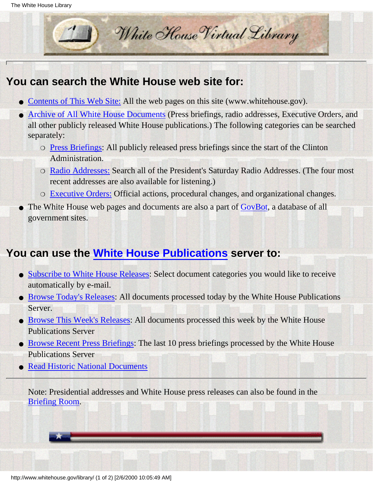

### **You can search the White House web site for:**

- [Contents of This Web Site:](http://www.whitehouse.gov/search) All the web pages on this site (www.whitehouse.gov).
- [Archive of All White House Documents](#page-2-0) (Press briefings, radio addresses, Executive Orders, and all other publicly released White House publications.) The following categories can be searched separately:
	- **[Press Briefings](http://www.pub.whitehouse.gov/search/press-briefings.html):** All publicly released press briefings since the start of the Clinton Administration.
	- O [Radio Addresses:](http://www.pub.whitehouse.gov/search/radio-addresses.html) Search all of the President's Saturday Radio Addresses. (The four most recent addresses are also available for listening.)
	- ❍ [Executive Orders:](http://www.pub.whitehouse.gov/search/executive-orders.html) Official actions, procedural changes, and organizational changes.
- The White House web pages and documents are also a part of [GovBot](http://www.whitehouse.gov/cgi-bin/good-bye.cgi?url=http://ciir.cs.umass.edu/ciirdemo/Govbot), a database of all government sites. ●

## **You can use the [White House Publications](http://www.pub.whitehouse.gov/WH/Publications/html/Publications.html) server to:**

- [Subscribe to White House Releases](http://www.pub.whitehouse.gov/WH/Publications/html/Publications.html#subscribe): Select document categories you would like to receive automatically by e-mail.
- [Browse Today's Releases](http://www.pub.whitehouse.gov/search/white-house-publications?everything+%3Eyesterday+%3D200+@www.pub.whitehouse.gov/WH/Publications/html/Publications.html): All documents processed today by the White House Publications Server.
- [Browse This Week's Releases:](http://www.pub.whitehouse.gov/search/white-house-publications?everything+%3Elast-week+%3D400) All documents processed this week by the White House Publications Server
- [Browse Recent Press Briefings:](http://www.pub.whitehouse.gov/search/white-house-publications?press-briefing+%3D10) The last 10 press briefings processed by the White House Publications Server
- [Read Historic National Documents](http://www.pub.whitehouse.gov/WH/Publications/html/Publications.html#major-documents)

Note: Presidential addresses and White House press releases can also be found in the [Briefing Room](http://www.whitehouse.gov/WH/html/briefroom.html).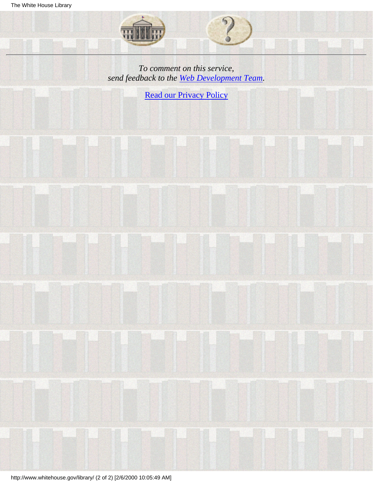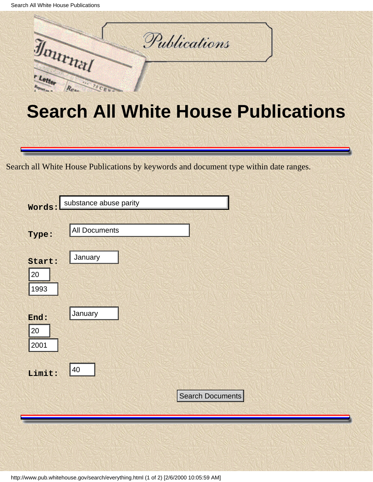<span id="page-2-0"></span>

# **Search All White House Publications**

Search all White House Publications by keywords and document type within date ranges.

|                                                                                      | Words:                       | substance abuse parity |  |  |
|--------------------------------------------------------------------------------------|------------------------------|------------------------|--|--|
|                                                                                      | Type:                        | <b>All Documents</b>   |  |  |
|                                                                                      | Start:<br>20<br>1993         | January                |  |  |
|                                                                                      | End:<br>20<br>2001<br>Limit: | January<br>40          |  |  |
|                                                                                      |                              | Search Documents       |  |  |
|                                                                                      |                              |                        |  |  |
| http://www.pub.whitehouse.gov/search/everything.html (1 of 2) [2/6/2000 10:05:59 AM] |                              |                        |  |  |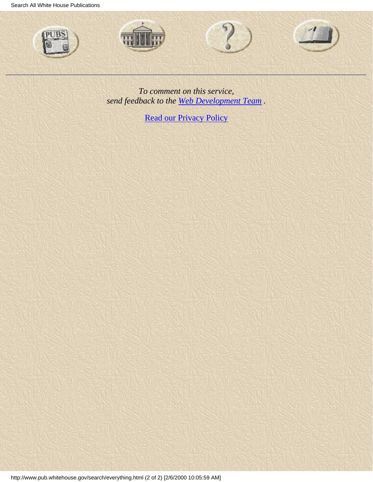Search All White House Publications



*To comment on this service, send feedback to the [Web Development Team](http://www.whitehouse.gov/cgi-bin/Correspondence/Mail_Developers) .*

**[Read our Privacy Policy](http://www.whitehouse.gov/WH/html/privacy.html)**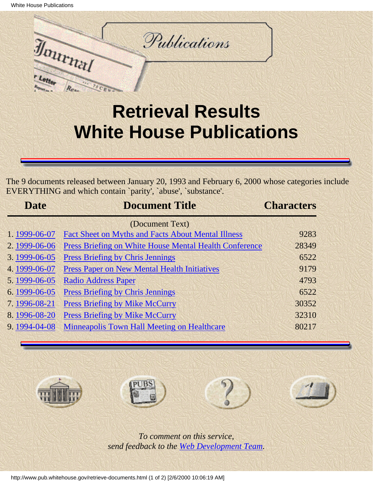

## **Retrieval Results White House Publications**

The 9 documents released between January 20, 1993 and February 6, 2000 whose categories include EVERYTHING and which contain `parity', `abuse', `substance'.

| <b>Date</b>     | <b>Document Title</b>                                         | <b>Characters</b> |  |
|-----------------|---------------------------------------------------------------|-------------------|--|
| (Document Text) |                                                               |                   |  |
| 1.1999-06-07    | <b>Fact Sheet on Myths and Facts About Mental Illness</b>     | 9283              |  |
| 2.1999-06-06    | <b>Press Briefing on White House Mental Health Conference</b> | 28349             |  |
| 3.1999-06-05    | <b>Press Briefing by Chris Jennings</b>                       | 6522              |  |
| 4.1999-06-07    | <b>Press Paper on New Mental Health Initiatives</b>           | 9179              |  |
| 5.1999-06-05    | <b>Radio Address Paper</b>                                    | 4793              |  |
| 6.1999-06-05    | <b>Press Briefing by Chris Jennings</b>                       | 6522              |  |
| 7.1996-08-21    | <b>Press Briefing by Mike McCurry</b>                         | 30352             |  |
| 8.1996-08-20    | <b>Press Briefing by Mike McCurry</b>                         | 32310             |  |
| 9.1994-04-08    | <b>Minneapolis Town Hall Meeting on Healthcare</b>            | 80217             |  |









*To comment on this service, send feedback to the [Web Development Team](http://www.pub.whitehouse.gov/correspondence/feedback.html).*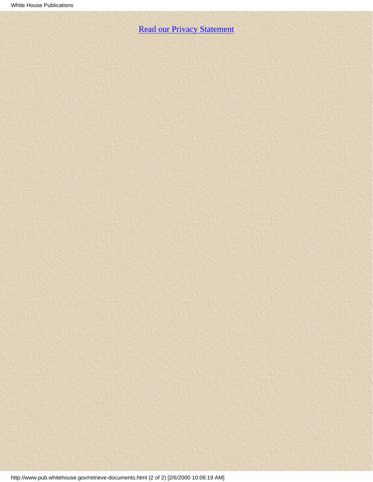[Read our Privacy Statement](http://www.whitehouse.gov/WH/html/privacy.html)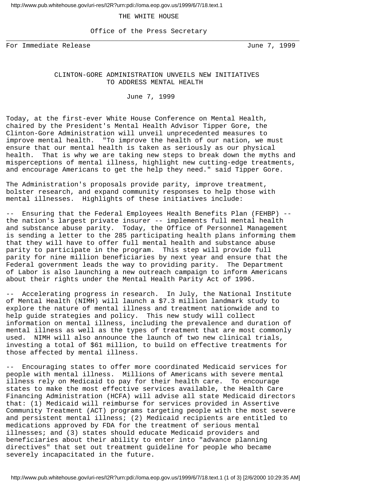<span id="page-6-0"></span>http://www.pub.whitehouse.gov/uri-res/I2R?urn:pdi://oma.eop.gov.us/1999/6/7/18.text.1

#### THE WHITE HOUSE

 Office of the Press Secretary \_\_\_\_\_\_\_\_\_\_\_\_\_\_\_\_\_\_\_\_\_\_\_\_\_\_\_\_\_\_\_\_\_\_\_\_\_\_\_\_\_\_\_\_\_\_\_\_\_\_\_\_\_\_\_\_\_\_\_\_\_\_\_\_\_\_\_\_\_\_\_\_\_

For Immediate Release and the Second State of Tune 7, 1999

#### CLINTON-GORE ADMINISTRATION UNVEILS NEW INITIATIVES TO ADDRESS MENTAL HEALTH

June 7, 1999

Today, at the first-ever White House Conference on Mental Health, chaired by the President's Mental Health Advisor Tipper Gore, the Clinton-Gore Administration will unveil unprecedented measures to improve mental health. "To improve the health of our nation, we must ensure that our mental health is taken as seriously as our physical health. That is why we are taking new steps to break down the myths and misperceptions of mental illness, highlight new cutting-edge treatments, and encourage Americans to get the help they need." said Tipper Gore.

The Administration's proposals provide parity, improve treatment, bolster research, and expand community responses to help those with mental illnesses. Highlights of these initiatives include:

-- Ensuring that the Federal Employees Health Benefits Plan (FEHBP) - the nation's largest private insurer -- implements full mental health and substance abuse parity. Today, the Office of Personnel Management is sending a letter to the 285 participating health plans informing them that they will have to offer full mental health and substance abuse parity to participate in the program. This step will provide full parity for nine million beneficiaries by next year and ensure that the Federal government leads the way to providing parity. The Department of Labor is also launching a new outreach campaign to inform Americans about their rights under the Mental Health Parity Act of 1996.

-- Accelerating progress in research. In July, the National Institute of Mental Health (NIMH) will launch a \$7.3 million landmark study to explore the nature of mental illness and treatment nationwide and to help guide strategies and policy. This new study will collect information on mental illness, including the prevalence and duration of mental illness as well as the types of treatment that are most commonly used. NIMH will also announce the launch of two new clinical trials, investing a total of \$61 million, to build on effective treatments for those affected by mental illness.

-- Encouraging states to offer more coordinated Medicaid services for people with mental illness. Millions of Americans with severe mental illness rely on Medicaid to pay for their health care. To encourage states to make the most effective services available, the Health Care Financing Administration (HCFA) will advise all state Medicaid directors that: (1) Medicaid will reimburse for services provided in Assertive Community Treatment (ACT) programs targeting people with the most severe and persistent mental illness; (2) Medicaid recipients are entitled to medications approved by FDA for the treatment of serious mental illnesses; and (3) states should educate Medicaid providers and beneficiaries about their ability to enter into "advance planning directives" that set out treatment guideline for people who became severely incapacitated in the future.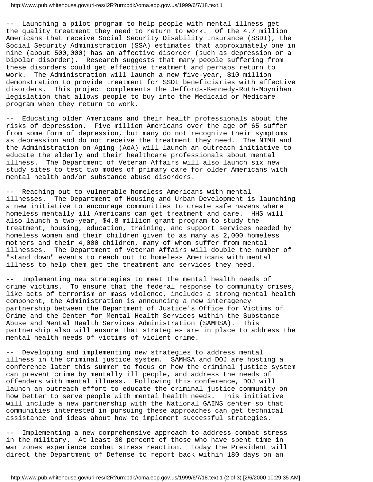-- Launching a pilot program to help people with mental illness get the quality treatment they need to return to work. Of the 4.7 million Americans that receive Social Security Disability Insurance (SSDI), the Social Security Administration (SSA) estimates that approximately one in nine (about 500,000) has an affective disorder (such as depression or a bipolar disorder). Research suggests that many people suffering from these disorders could get effective treatment and perhaps return to work. The Administration will launch a new five-year, \$10 million demonstration to provide treatment for SSDI beneficiaries with affective disorders. This project complements the Jeffords-Kennedy-Roth-Moynihan legislation that allows people to buy into the Medicaid or Medicare program when they return to work.

-- Educating older Americans and their health professionals about the risks of depression. Five million Americans over the age of 65 suffer from some form of depression, but many do not recognize their symptoms as depression and do not receive the treatment they need. The NIMH and the Administration on Aging (AoA) will launch an outreach initiative to educate the elderly and their healthcare professionals about mental illness. The Department of Veteran Affairs will also launch six new study sites to test two modes of primary care for older Americans with mental health and/or substance abuse disorders.

-- Reaching out to vulnerable homeless Americans with mental illnesses. The Department of Housing and Urban Development is launching a new initiative to encourage communities to create safe havens where homeless mentally ill Americans can get treatment and care. HHS will also launch a two-year, \$4.8 million grant program to study the treatment, housing, education, training, and support services needed by homeless women and their children given to as many as 2,000 homeless mothers and their 4,000 children, many of whom suffer from mental illnesses. The Department of Veteran Affairs will double the number of "stand down" events to reach out to homeless Americans with mental illness to help them get the treatment and services they need.

Implementing new strategies to meet the mental health needs of crime victims. To ensure that the federal response to community crises, like acts of terrorism or mass violence, includes a strong mental health component, the Administration is announcing a new interagency partnership between the Department of Justice's Office for Victims of Crime and the Center for Mental Health Services within the Substance Abuse and Mental Health Services Administration (SAMHSA). This partnership also will ensure that strategies are in place to address the mental health needs of victims of violent crime.

-- Developing and implementing new strategies to address mental illness in the criminal justice system. SAMHSA and DOJ are hosting a conference later this summer to focus on how the criminal justice system can prevent crime by mentally ill people, and address the needs of offenders with mental illness. Following this conference, DOJ will launch an outreach effort to educate the criminal justice community on how better to serve people with mental health needs. This initiative will include a new partnership with the National GAINS center so that communities interested in pursuing these approaches can get technical assistance and ideas about how to implement successful strategies.

-- Implementing a new comprehensive approach to address combat stress in the military. At least 30 percent of those who have spent time in war zones experience combat stress reaction. Today the President will direct the Department of Defense to report back within 180 days on an